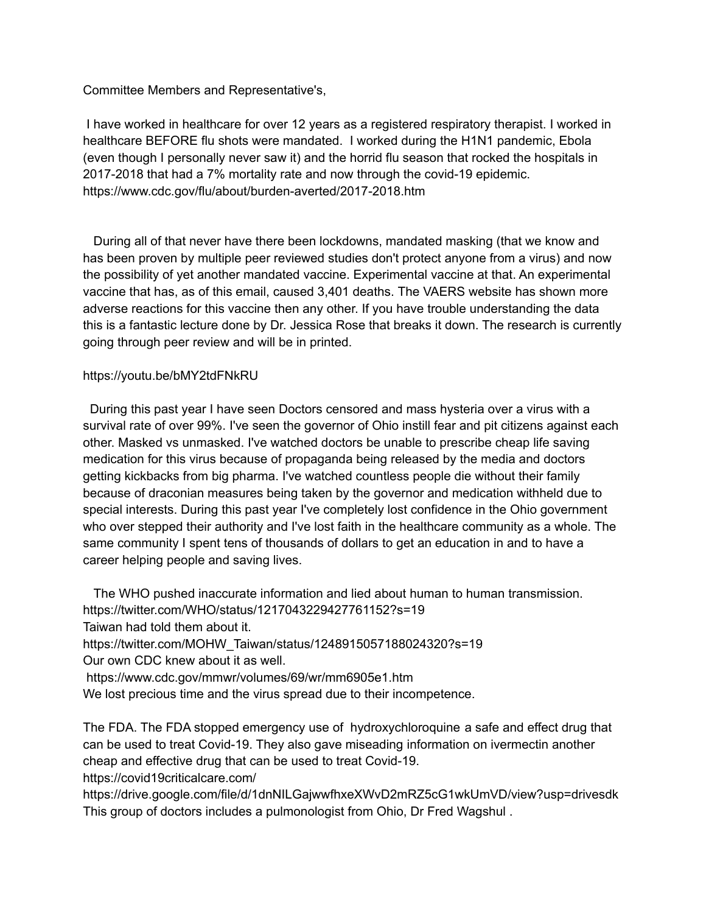Committee Members and Representative's,

I have worked in healthcare for over 12 years as a registered respiratory therapist. I worked in healthcare BEFORE flu shots were mandated. I worked during the H1N1 pandemic, Ebola (even though I personally never saw it) and the horrid flu season that rocked the hospitals in 2017-2018 that had a 7% mortality rate and now through the covid-19 epidemic. https://www.cdc.gov/flu/about/burden-averted/2017-2018.htm

During all of that never have there been lockdowns, mandated masking (that we know and has been proven by multiple peer reviewed studies don't protect anyone from a virus) and now the possibility of yet another mandated vaccine. Experimental vaccine at that. An experimental vaccine that has, as of this email, caused 3,401 deaths. The VAERS website has shown more adverse reactions for this vaccine then any other. If you have trouble understanding the data this is a fantastic lecture done by Dr. Jessica Rose that breaks it down. The research is currently going through peer review and will be in printed.

## https://youtu.be/bMY2tdFNkRU

During this past year I have seen Doctors censored and mass hysteria over a virus with a survival rate of over 99%. I've seen the governor of Ohio instill fear and pit citizens against each other. Masked vs unmasked. I've watched doctors be unable to prescribe cheap life saving medication for this virus because of propaganda being released by the media and doctors getting kickbacks from big pharma. I've watched countless people die without their family because of draconian measures being taken by the governor and medication withheld due to special interests. During this past year I've completely lost confidence in the Ohio government who over stepped their authority and I've lost faith in the healthcare community as a whole. The same community I spent tens of thousands of dollars to get an education in and to have a career helping people and saving lives.

The WHO pushed inaccurate information and lied about human to human transmission. https://twitter.com/WHO/status/1217043229427761152?s=19 Taiwan had told them about it. https://twitter.com/MOHW\_Taiwan/status/1248915057188024320?s=19 Our own CDC knew about it as well. https://www.cdc.gov/mmwr/volumes/69/wr/mm6905e1.htm We lost precious time and the virus spread due to their incompetence.

The FDA. The FDA stopped emergency use of hydroxychloroquine a safe and effect drug that can be used to treat Covid-19. They also gave miseading information on ivermectin another cheap and effective drug that can be used to treat Covid-19. https://covid19criticalcare.com/

https://drive.google.com/file/d/1dnNILGajwwfhxeXWvD2mRZ5cG1wkUmVD/view?usp=drivesdk This group of doctors includes a pulmonologist from Ohio, Dr Fred Wagshul .